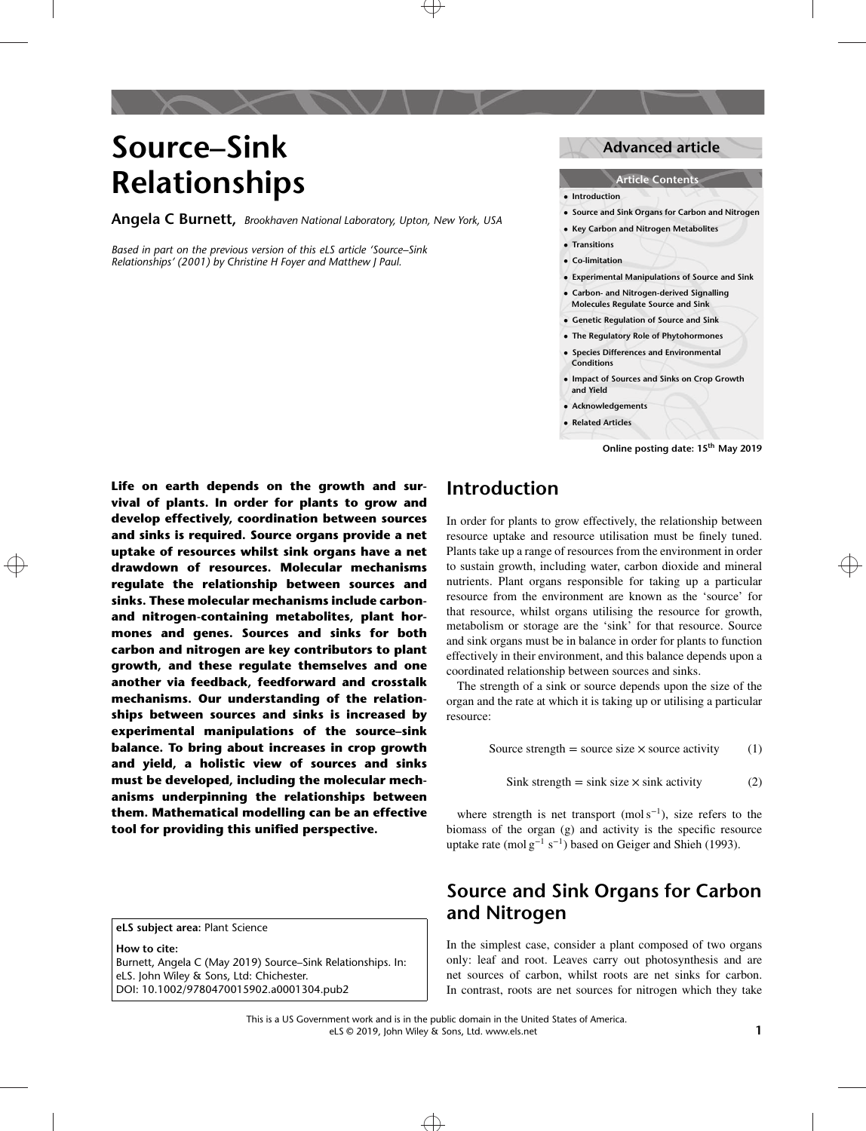# **Source–Sink Relationships**

**Angela C Burnett,** *Brookhaven National Laboratory, Upton, New York, USA*

[Based](#page-0-0) [in](#page-0-0) [part](#page-0-0) [on](#page-0-0) [the](#page-0-0) [previous](#page-0-0) [version](#page-0-0) [of](#page-0-0) [this](#page-0-0) [eLS](#page-0-0) [article](#page-0-0) 'Source-Sink *Relationships' (2001) by Christine H Foyer and Matthew J Paul.*

### **Advanced article**

### **Article Contents**

- **• Introduction**
- **• Source and Sink Organs for Carbon and Nitrogen**
- **• Key Carbon and Nitrogen Metabolites**
- **• Transitions**
- **• Co-limitation**
- **• Experimental Manipulations of Source and Sink**
- **• Carbon- and Nitrogen-derived Signalling Molecules Regulate Source and Sink**
- **• Genetic Regulation of Source and Sink**
- **• The Regulatory Role of Phytohormones**
- **• Species Differences and Environmental Conditions**
- **• Impact of Sources and Sinks on Crop Growth and Yield**
- **• Acknowledgements**
- **• Related Articles**

<span id="page-0-0"></span>drawdown of resources. Molecular mechanisms to sustain growth, including water, carbon dioxide and mineral **Life on earth depends on the growth and survival of plants. In order for plants to grow and develop effectively, coordination between sources and sinks is required. Source organs provide a net uptake of resources whilst sink organs have a net drawdown of resources. Molecular mechanisms regulate the relationship between sources and sinks. These molecular mechanisms include carbonand nitrogen-containing metabolites, plant hormones and genes. Sources and sinks for both carbon and nitrogen are key contributors to plant growth, and these regulate themselves and one another via feedback, feedforward and crosstalk mechanisms. Our understanding of the relationships between sources and sinks is increased by experimental manipulations of the source–sink balance. To bring about increases in crop growth and yield, a holistic view of sources and sinks must be developed, including the molecular mechanisms underpinning the relationships between them. Mathematical modelling can be an effective tool for providing this unified perspective.**

**eLS subject area:** Plant Science

**How to cite:** Burnett, Angela C (May 2019) Source–Sink Relationships. In: eLS. John Wiley & Sons, Ltd: Chichester. DOI: 10.1002/9780470015902.a0001304.pub2

### **Introduction**

In order for plants to grow effectively, the relationship between resource uptake and resource utilisation must be finely tuned. Plants take up a range of resources from the environment in order nutrients. Plant organs responsible for taking up a particular resource from the environment are known as the 'source' for that resource, whilst organs utilising the resource for growth, metabolism or storage are the 'sink' for that resource. Source and sink organs must be in balance in order for plants to function effectively in their environment, and this balance depends upon a coordinated relationship between sources and sinks.

The strength of a sink or source depends upon the size of the organ and the rate at which it is taking up or utilising a particular resource:

Source strength = source size  $\times$  source activity (1)

Sink strength = sink size  $\times$  sink activity (2)

where strength is net transport (mol s<sup>-1</sup>), size refers to the biomass of the organ (g) and activity is the specific resource uptake rate (mol  $g^{-1} s^{-1}$ ) based on Geiger and Shieh (1993).

## **Source and Sink Organs for Carbon and Nitrogen**

In the simplest case, consider a plant composed of two organs only: leaf and root. Leaves carry out photosynthesis and are net sources of carbon, whilst roots are net sinks for carbon. In contrast, roots are net sources for nitrogen which they take

**Online posting date: 15th May 2019**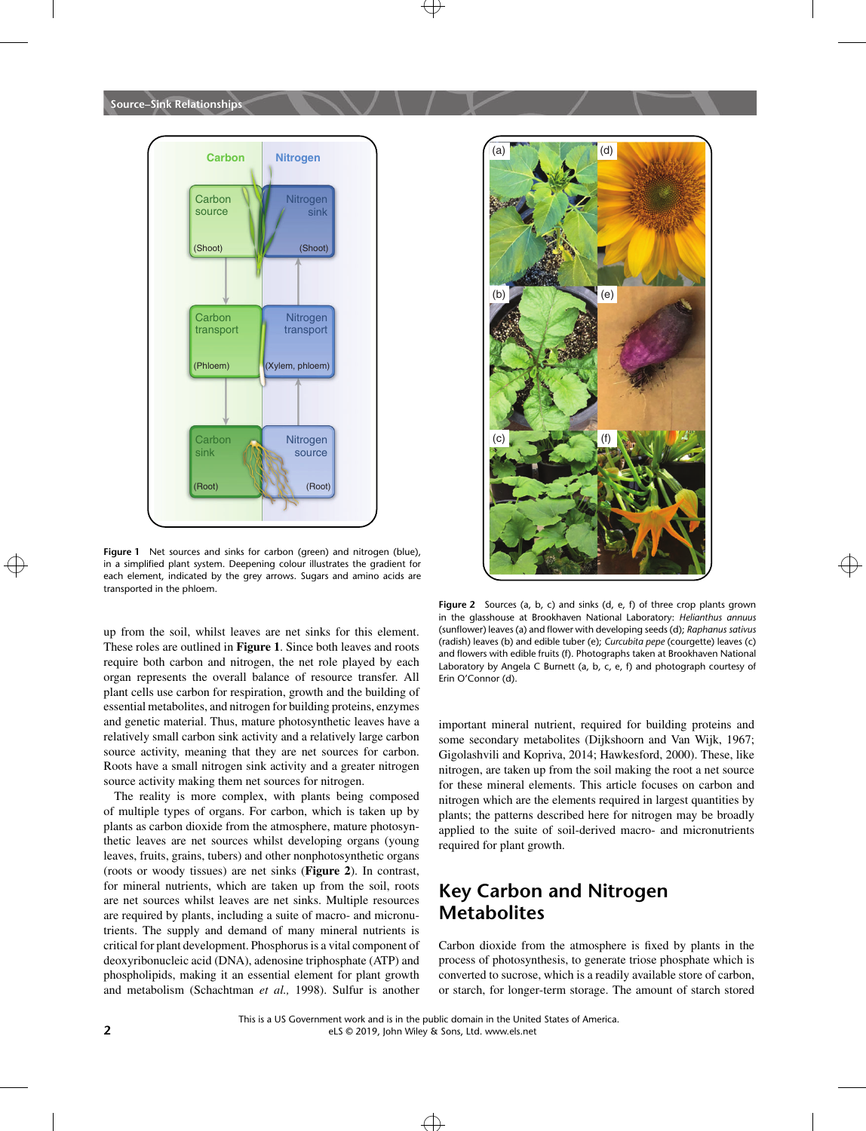

in a simplified plant system. Deepening colour illustrates the gradient for the state of the state of the state of the state of the state of the state of the state of the state of the state of the state of the state of the **Figure 1** Net sources and sinks for carbon (green) and nitrogen (blue), each element, indicated by the grey arrows. Sugars and amino acids are transported in the phloem.

up from the soil, whilst leaves are net sinks for this element. These roles are outlined in **Figure 1**. Since both leaves and roots require both carbon and nitrogen, the net role played by each organ represents the overall balance of resource transfer. All plant cells use carbon for respiration, growth and the building of essential metabolites, and nitrogen for building proteins, enzymes and genetic material. Thus, mature photosynthetic leaves have a relatively small carbon sink activity and a relatively large carbon source activity, meaning that they are net sources for carbon. Roots have a small nitrogen sink activity and a greater nitrogen source activity making them net sources for nitrogen.

The reality is more complex, with plants being composed of multiple types of organs. For carbon, which is taken up by plants as carbon dioxide from the atmosphere, mature photosynthetic leaves are net sources whilst developing organs (young leaves, fruits, grains, tubers) and other nonphotosynthetic organs (roots or woody tissues) are net sinks (**Figure 2**). In contrast, for mineral nutrients, which are taken up from the soil, roots are net sources whilst leaves are net sinks. Multiple resources are required by plants, including a suite of macro- and micronutrients. The supply and demand of many mineral nutrients is critical for plant development. Phosphorus is a vital component of deoxyribonucleic acid (DNA), adenosine triphosphate (ATP) and phospholipids, making it an essential element for plant growth and metabolism (Schachtman *et al.,* 1998). Sulfur is another



**Figure 2** Sources (a, b, c) and sinks (d, e, f) of three crop plants grown in the glasshouse at Brookhaven National Laboratory: *Helianthus annuus* (sunflower) leaves (a) and flower with developing seeds (d); *Raphanus sativus* (radish) leaves (b) and edible tuber (e); *Curcubita pepe* (courgette) leaves (c) and flowers with edible fruits (f). Photographs taken at Brookhaven National Laboratory by Angela C Burnett (a, b, c, e, f) and photograph courtesy of Erin O'Connor (d).

important mineral nutrient, required for building proteins and some secondary metabolites (Dijkshoorn and Van Wijk, 1967; Gigolashvili and Kopriva, 2014; Hawkesford, 2000). These, like nitrogen, are taken up from the soil making the root a net source for these mineral elements. This article focuses on carbon and nitrogen which are the elements required in largest quantities by plants; the patterns described here for nitrogen may be broadly applied to the suite of soil-derived macro- and micronutrients required for plant growth.

# **Key Carbon and Nitrogen Metabolites**

Carbon dioxide from the atmosphere is fixed by plants in the process of photosynthesis, to generate triose phosphate which is converted to sucrose, which is a readily available store of carbon, or starch, for longer-term storage. The amount of starch stored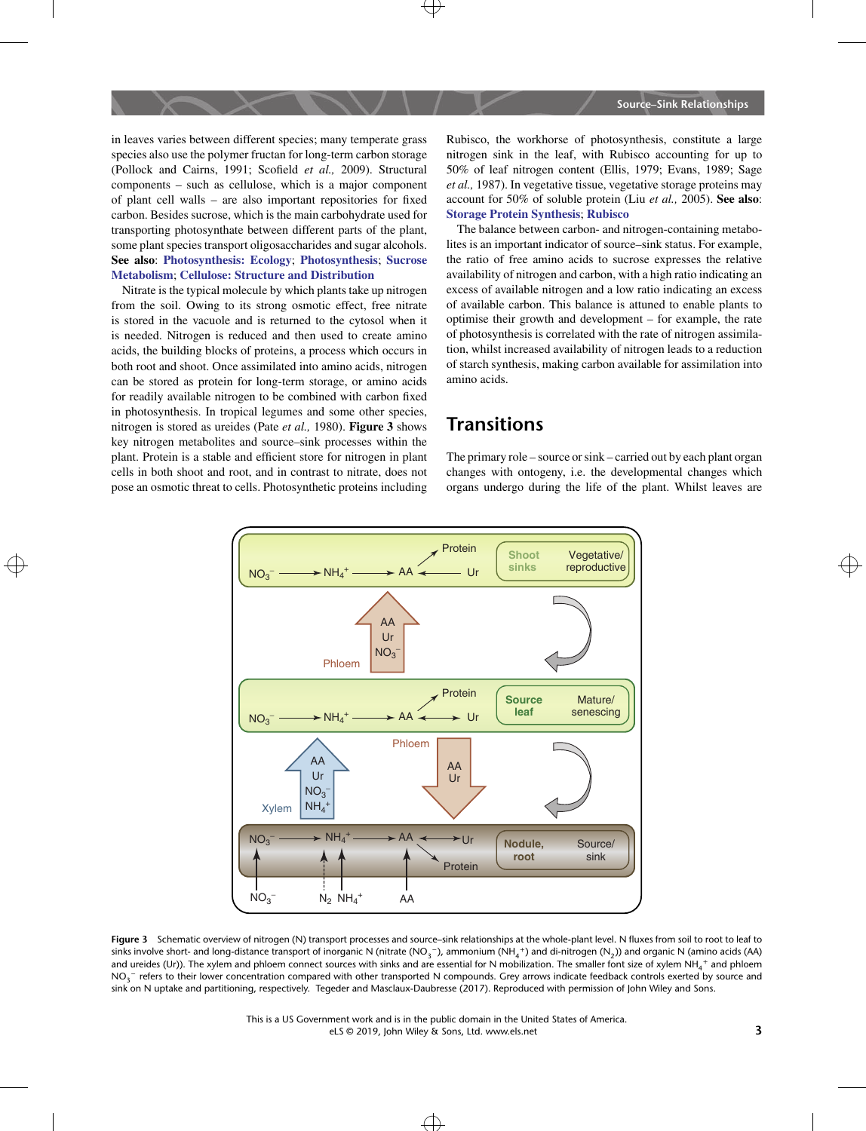in leaves varies between different species; many temperate grass species also use the polymer fructan for long-term carbon storage (Pollock and Cairns, 1991; Scofield *et al.,* 2009). Structural components – such as cellulose, which is a major component of plant cell walls – are also important repositories for fixed carbon. Besides sucrose, which is the main carbohydrate used for transporting photosynthate between different parts of the plant, some plant species transport oligosaccharides and sugar alcohols. **See also**: **[Photosynthesis: Ecology](http://onlinelibrary.wiley.com/doi/10.1002/9780470015902.a0003198.pub2)**; **[Photosynthesis](http://onlinelibrary.wiley.com/doi/10.1002/9780470015902.a0001309.pub2)**; **[Sucrose](http://onlinelibrary.wiley.com/doi/10.1002/9780470015902.a0021259.pub2) [Metabolism](http://onlinelibrary.wiley.com/doi/10.1002/9780470015902.a0021259.pub2)**; **[Cellulose: Structure and Distribution](http://onlinelibrary.wiley.com/doi/10.1038/npg.els.0003892)**

Nitrate is the typical molecule by which plants take up nitrogen from the soil. Owing to its strong osmotic effect, free nitrate is stored in the vacuole and is returned to the cytosol when it is needed. Nitrogen is reduced and then used to create amino acids, the building blocks of proteins, a process which occurs in both root and shoot. Once assimilated into amino acids, nitrogen can be stored as protein for long-term storage, or amino acids for readily available nitrogen to be combined with carbon fixed in photosynthesis. In tropical legumes and some other species, nitrogen is stored as ureides (Pate *et al.,* 1980). **Figure 3** shows key nitrogen metabolites and source–sink processes within the plant. Protein is a stable and efficient store for nitrogen in plant cells in both shoot and root, and in contrast to nitrate, does not pose an osmotic threat to cells. Photosynthetic proteins including Rubisco, the workhorse of photosynthesis, constitute a large nitrogen sink in the leaf, with Rubisco accounting for up to 50% of leaf nitrogen content (Ellis, 1979; Evans, 1989; Sage *et al.,* 1987). In vegetative tissue, vegetative storage proteins may account for 50% of soluble protein (Liu *et al.,* 2005). **See also**: **[Storage Protein Synthesis](http://onlinelibrary.wiley.com/doi/10.1002/9780470015902.a0023693)**; **[Rubisco](http://onlinelibrary.wiley.com/doi/10.1002/9780470015902.a0001293.pub2)**

The balance between carbon- and nitrogen-containing metabolites is an important indicator of source–sink status. For example, the ratio of free amino acids to sucrose expresses the relative availability of nitrogen and carbon, with a high ratio indicating an excess of available nitrogen and a low ratio indicating an excess of available carbon. This balance is attuned to enable plants to optimise their growth and development – for example, the rate of photosynthesis is correlated with the rate of nitrogen assimilation, whilst increased availability of nitrogen leads to a reduction of starch synthesis, making carbon available for assimilation into amino acids.

### **Transitions**

The primary role – source or sink – carried out by each plant organ changes with ontogeny, i.e. the developmental changes which organs undergo during the life of the plant. Whilst leaves are



**Figure 3** Schematic overview of nitrogen (N) transport processes and source–sink relationships at the whole-plant level. N fluxes from soil to root to leaf to sinks involve short- and long-distance transport of inorganic N (nitrate (NO<sub>3</sub>−), ammonium (NH<sub>4</sub>+) and di-nitrogen (N<sub>2</sub>)) and organic N (amino acids (AA) and ureides (Ur)). The xylem and phloem connect sources with sinks and are essential for N mobilization. The smaller font size of xylem NH $_4^{\, +}$  and phloem NO<sub>3</sub>− refers to their lower concentration compared with other transported N compounds. Grey arrows indicate feedback controls exerted by source and sink on N uptake and partitioning, respectively. Tegeder and Masclaux-Daubresse (2017). Reproduced with permission of John Wiley and Sons.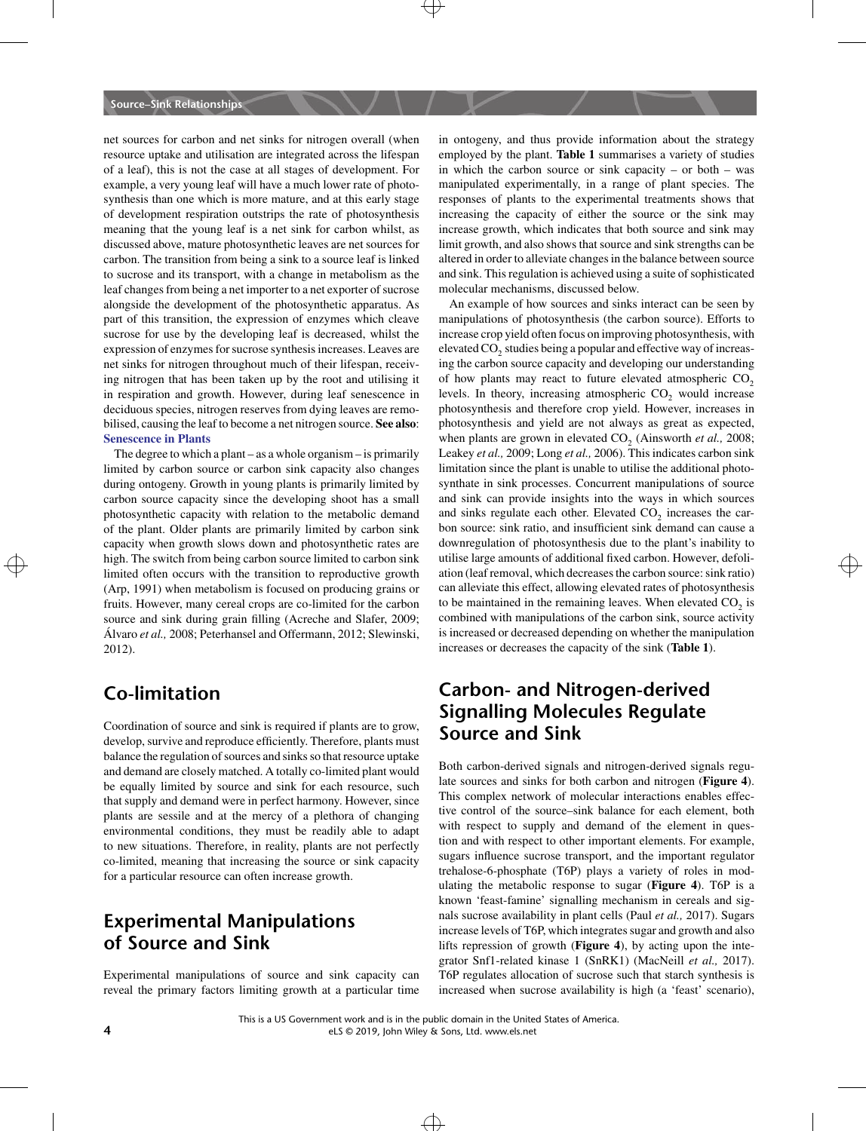net sources for carbon and net sinks for nitrogen overall (when resource uptake and utilisation are integrated across the lifespan of a leaf), this is not the case at all stages of development. For example, a very young leaf will have a much lower rate of photosynthesis than one which is more mature, and at this early stage of development respiration outstrips the rate of photosynthesis meaning that the young leaf is a net sink for carbon whilst, as discussed above, mature photosynthetic leaves are net sources for carbon. The transition from being a sink to a source leaf is linked to sucrose and its transport, with a change in metabolism as the leaf changes from being a net importer to a net exporter of sucrose alongside the development of the photosynthetic apparatus. As part of this transition, the expression of enzymes which cleave sucrose for use by the developing leaf is decreased, whilst the expression of enzymes for sucrose synthesis increases. Leaves are net sinks for nitrogen throughout much of their lifespan, receiving nitrogen that has been taken up by the root and utilising it in respiration and growth. However, during leaf senescence in deciduous species, nitrogen reserves from dying leaves are remobilised, causing the leaf to become a net nitrogen source. **See also**: **[Senescence in Plants](http://onlinelibrary.wiley.com/doi/10.1002/9780470015902.a0020133.pub2)**

high. The switch from being carbon source limited to carbon sink utilise large amounts of additional fixed carbon. However, defoli-<br>In this degree of the series carbon source in the carbon sink utilise degree and which deg The degree to which a plant – as a whole organism – is primarily limited by carbon source or carbon sink capacity also changes during ontogeny. Growth in young plants is primarily limited by carbon source capacity since the developing shoot has a small photosynthetic capacity with relation to the metabolic demand of the plant. Older plants are primarily limited by carbon sink capacity when growth slows down and photosynthetic rates are limited often occurs with the transition to reproductive growth (Arp, 1991) when metabolism is focused on producing grains or fruits. However, many cereal crops are co-limited for the carbon source and sink during grain filling (Acreche and Slafer, 2009; Álvaro *et al.,* 2008; Peterhansel and Offermann, 2012; Slewinski, 2012).

# **Co-limitation**

Coordination of source and sink is required if plants are to grow, develop, survive and reproduce efficiently. Therefore, plants must balance the regulation of sources and sinks so that resource uptake and demand are closely matched. A totally co-limited plant would be equally limited by source and sink for each resource, such that supply and demand were in perfect harmony. However, since plants are sessile and at the mercy of a plethora of changing environmental conditions, they must be readily able to adapt to new situations. Therefore, in reality, plants are not perfectly co-limited, meaning that increasing the source or sink capacity for a particular resource can often increase growth.

# **Experimental Manipulations of Source and Sink**

Experimental manipulations of source and sink capacity can reveal the primary factors limiting growth at a particular time in ontogeny, and thus provide information about the strategy employed by the plant. **Table 1** summarises a variety of studies in which the carbon source or sink capacity – or both – was manipulated experimentally, in a range of plant species. The responses of plants to the experimental treatments shows that increasing the capacity of either the source or the sink may increase growth, which indicates that both source and sink may limit growth, and also shows that source and sink strengths can be altered in order to alleviate changes in the balance between source and sink. This regulation is achieved using a suite of sophisticated molecular mechanisms, discussed below.

An example of how sources and sinks interact can be seen by manipulations of photosynthesis (the carbon source). Efforts to increase crop yield often focus on improving photosynthesis, with elevated CO<sub>2</sub> studies being a popular and effective way of increasing the carbon source capacity and developing our understanding of how plants may react to future elevated atmospheric  $CO<sub>2</sub>$ levels. In theory, increasing atmospheric  $CO<sub>2</sub>$  would increase photosynthesis and therefore crop yield. However, increases in photosynthesis and yield are not always as great as expected, when plants are grown in elevated CO<sub>2</sub> (Ainsworth *et al.*, 2008; Leakey *et al.,* 2009; Long *et al.,* 2006). This indicates carbon sink limitation since the plant is unable to utilise the additional photosynthate in sink processes. Concurrent manipulations of source and sink can provide insights into the ways in which sources and sinks regulate each other. Elevated  $CO<sub>2</sub>$  increases the carbon source: sink ratio, and insufficient sink demand can cause a downregulation of photosynthesis due to the plant's inability to utilise large amounts of additional fixed carbon. However, defoliation (leaf removal, which decreases the carbon source: sink ratio) can alleviate this effect, allowing elevated rates of photosynthesis to be maintained in the remaining leaves. When elevated  $CO<sub>2</sub>$  is combined with manipulations of the carbon sink, source activity is increased or decreased depending on whether the manipulation increases or decreases the capacity of the sink (**Table 1**).

### **Carbon- and Nitrogen-derived Signalling Molecules Regulate Source and Sink**

Both carbon-derived signals and nitrogen-derived signals regulate sources and sinks for both carbon and nitrogen (**Figure 4**). This complex network of molecular interactions enables effective control of the source–sink balance for each element, both with respect to supply and demand of the element in question and with respect to other important elements. For example, sugars influence sucrose transport, and the important regulator trehalose-6-phosphate (T6P) plays a variety of roles in modulating the metabolic response to sugar (**Figure 4**). T6P is a known 'feast-famine' signalling mechanism in cereals and signals sucrose availability in plant cells (Paul *et al.,* 2017). Sugars increase levels of T6P, which integrates sugar and growth and also lifts repression of growth (**Figure 4**), by acting upon the integrator Snf1-related kinase 1 (SnRK1) (MacNeill *et al.,* 2017). T6P regulates allocation of sucrose such that starch synthesis is increased when sucrose availability is high (a 'feast' scenario),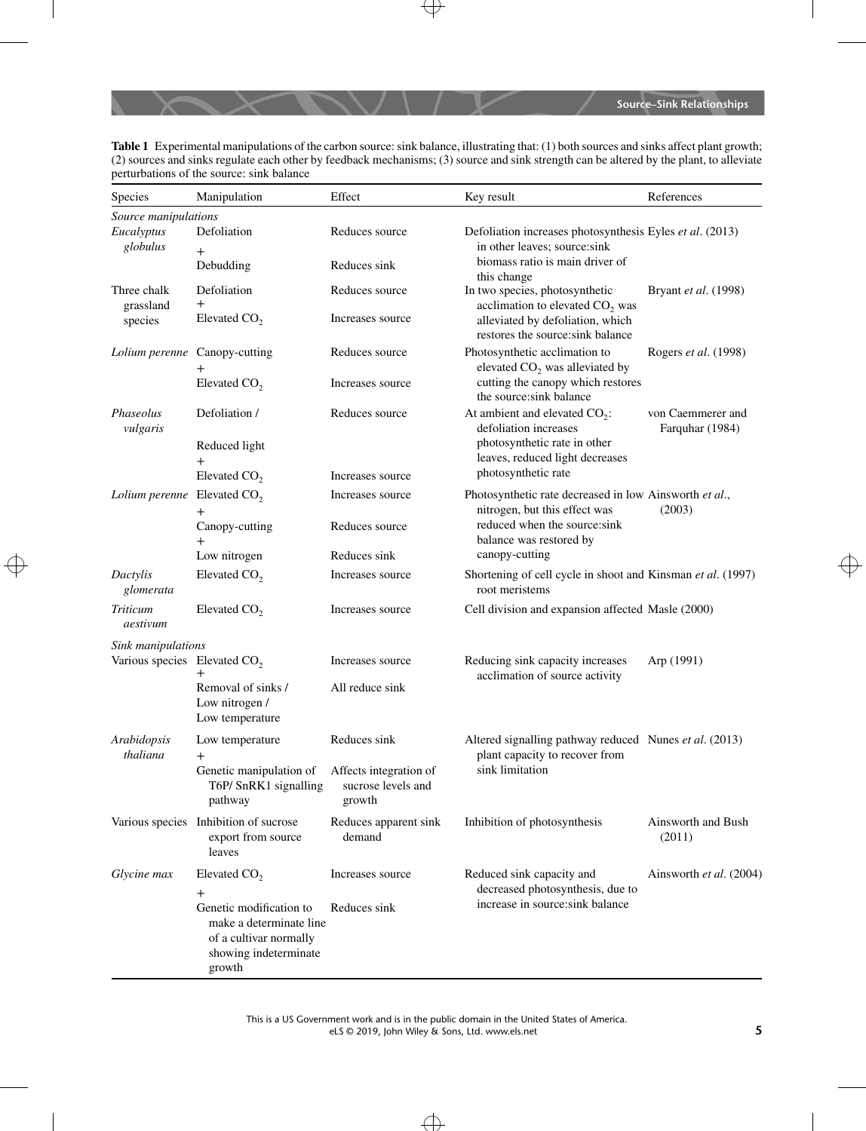**Table 1** Experimental manipulations of the carbon source: sink balance, illustrating that: (1) both sources and sinks affect plant growth; (2) sources and sinks regulate each other by feedback mechanisms; (3) source and sink strength can be altered by the plant, to alleviate perturbations of the source: sink balance

| Species                                  | Manipulation                                                                                                    | Effect                                                 | Key result                                                                                                                                         | References                                                                                                                        |
|------------------------------------------|-----------------------------------------------------------------------------------------------------------------|--------------------------------------------------------|----------------------------------------------------------------------------------------------------------------------------------------------------|-----------------------------------------------------------------------------------------------------------------------------------|
| Source manipulations                     |                                                                                                                 |                                                        |                                                                                                                                                    |                                                                                                                                   |
| Eucalyptus<br>globulus                   | Defoliation<br>$^{+}$                                                                                           | Reduces source                                         | Defoliation increases photosynthesis Eyles et al. (2013)<br>in other leaves; source:sink                                                           |                                                                                                                                   |
|                                          | Debudding                                                                                                       | Reduces sink                                           | biomass ratio is main driver of<br>this change                                                                                                     |                                                                                                                                   |
| Three chalk<br>grassland<br>species      | Defoliation<br>$^{+}$                                                                                           | Reduces source                                         | In two species, photosynthetic<br>acclimation to elevated CO <sub>2</sub> was                                                                      | Bryant et al. (1998)                                                                                                              |
|                                          | Elevated CO <sub>2</sub>                                                                                        | Increases source                                       | alleviated by defoliation, which<br>restores the source:sink balance                                                                               |                                                                                                                                   |
| Lolium perenne Canopy-cutting            | $^+$                                                                                                            | Reduces source                                         | Photosynthetic acclimation to<br>elevated $CO2$ was alleviated by                                                                                  | Rogers et al. (1998)                                                                                                              |
|                                          | Elevated CO <sub>2</sub>                                                                                        | Increases source                                       | cutting the canopy which restores<br>the source: sink balance                                                                                      |                                                                                                                                   |
| Phaseolus<br>vulgaris                    | Defoliation /<br>Reduced light                                                                                  | Reduces source                                         | defoliation increases<br>photosynthetic rate in other                                                                                              | At ambient and elevated $CO2$ :<br>von Caemmerer and<br>Farquhar (1984)<br>leaves, reduced light decreases<br>photosynthetic rate |
|                                          | $^{+}$<br>Elevated CO <sub>2</sub>                                                                              | Increases source                                       |                                                                                                                                                    |                                                                                                                                   |
| Lolium perenne                           | Elevated CO <sub>2</sub><br>$^+$                                                                                | Increases source                                       | Photosynthetic rate decreased in low Ainsworth et al.,<br>nitrogen, but this effect was<br>reduced when the source:sink<br>balance was restored by | (2003)                                                                                                                            |
|                                          | Canopy-cutting<br>$^{+}$                                                                                        | Reduces source                                         |                                                                                                                                                    |                                                                                                                                   |
|                                          | Low nitrogen                                                                                                    | Reduces sink                                           | canopy-cutting                                                                                                                                     |                                                                                                                                   |
| Dactylis<br>glomerata                    | Elevated CO <sub>2</sub>                                                                                        | Increases source                                       | Shortening of cell cycle in shoot and Kinsman et al. (1997)<br>root meristems                                                                      |                                                                                                                                   |
| Triticum<br>aestivum                     | Elevated CO <sub>2</sub>                                                                                        | Increases source                                       | Cell division and expansion affected Masle (2000)                                                                                                  |                                                                                                                                   |
| Sink manipulations                       |                                                                                                                 |                                                        |                                                                                                                                                    |                                                                                                                                   |
| Various species Elevated CO <sub>2</sub> | $^{+}$                                                                                                          | Increases source                                       | Reducing sink capacity increases<br>acclimation of source activity                                                                                 | Arp (1991)                                                                                                                        |
|                                          | Removal of sinks /<br>Low nitrogen /<br>Low temperature                                                         | All reduce sink                                        |                                                                                                                                                    |                                                                                                                                   |
| Arabidopsis<br>thaliana                  | Low temperature<br>$^{+}$                                                                                       | Reduces sink                                           | Altered signalling pathway reduced Nunes et al. (2013)<br>plant capacity to recover from<br>sink limitation                                        |                                                                                                                                   |
|                                          | Genetic manipulation of<br>T6P/SnRK1 signalling<br>pathway                                                      | Affects integration of<br>sucrose levels and<br>growth |                                                                                                                                                    |                                                                                                                                   |
|                                          | Various species Inhibition of sucrose<br>export from source<br>leaves                                           | Reduces apparent sink<br>demand                        | Inhibition of photosynthesis                                                                                                                       | Ainsworth and Bush<br>(2011)                                                                                                      |
| Glycine max                              | Elevated CO <sub>2</sub><br>$^{+}$                                                                              | Increases source                                       | Reduced sink capacity and<br>decreased photosynthesis, due to<br>increase in source:sink balance                                                   | Ainsworth et al. (2004)                                                                                                           |
|                                          | Genetic modification to<br>make a determinate line<br>of a cultivar normally<br>showing indeterminate<br>growth | Reduces sink                                           |                                                                                                                                                    |                                                                                                                                   |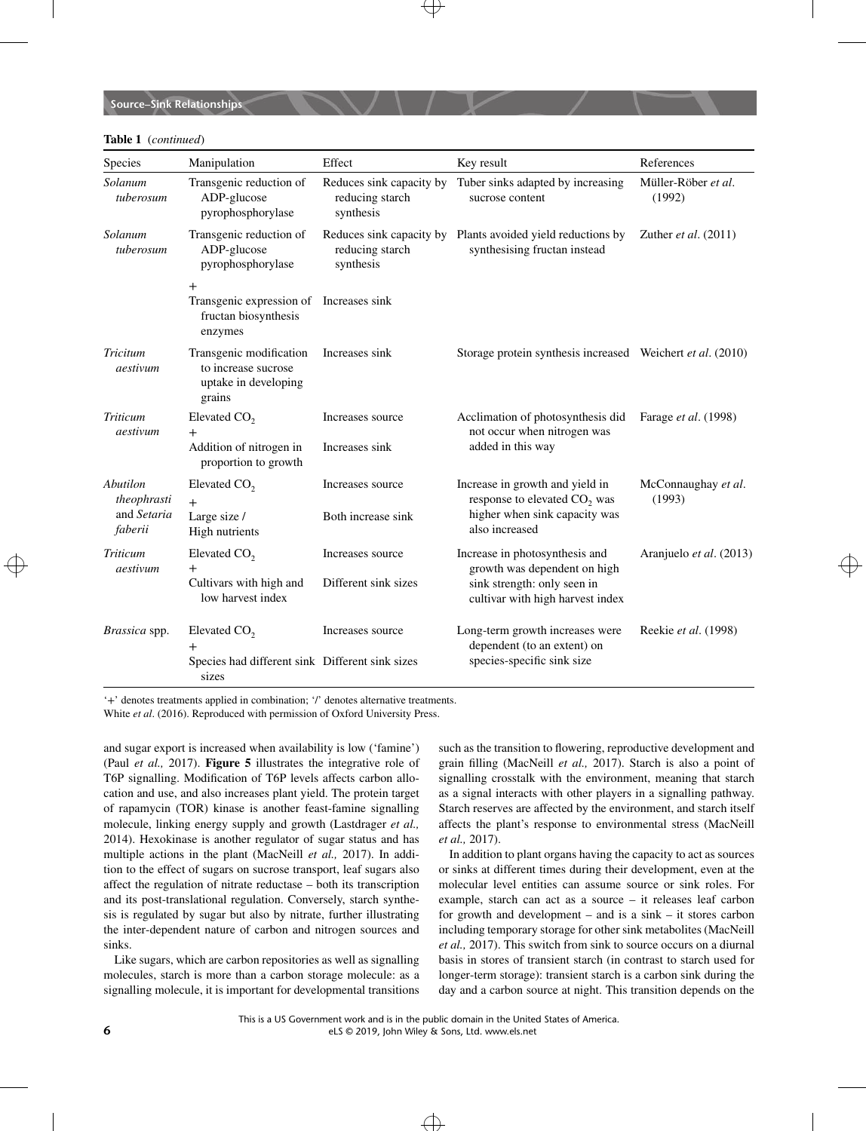#### **Table 1** (*continued*)

| Species                                           | Manipulation                                                                                  | Effect                                                   | Key result                                                                                                                        | References                    |
|---------------------------------------------------|-----------------------------------------------------------------------------------------------|----------------------------------------------------------|-----------------------------------------------------------------------------------------------------------------------------------|-------------------------------|
| Solanum<br>tuberosum                              | Transgenic reduction of<br>ADP-glucose<br>pyrophosphorylase                                   | Reduces sink capacity by<br>reducing starch<br>synthesis | Tuber sinks adapted by increasing<br>sucrose content                                                                              | Müller-Röber et al.<br>(1992) |
| Solanum<br>tuberosum                              | Transgenic reduction of<br>ADP-glucose<br>pyrophosphorylase                                   | reducing starch<br>synthesis                             | Reduces sink capacity by Plants avoided yield reductions by<br>synthesising fructan instead                                       | Zuther <i>et al.</i> $(2011)$ |
|                                                   | $^{+}$<br>Transgenic expression of Increases sink<br>fructan biosynthesis<br>enzymes          |                                                          |                                                                                                                                   |                               |
| Tricitum<br>aestivum                              | Transgenic modification<br>to increase sucrose<br>uptake in developing<br>grains              | Increases sink                                           | Storage protein synthesis increased Weichert et al. (2010)                                                                        |                               |
| Triticum<br>aestivum                              | Elevated CO <sub>2</sub><br>$^{+}$<br>Addition of nitrogen in<br>proportion to growth         | Increases source<br>Increases sink                       | Acclimation of photosynthesis did<br>not occur when nitrogen was<br>added in this way                                             | Farage et al. (1998)          |
| Abutilon<br>theophrasti<br>and Setaria<br>faberii | Elevated CO <sub>2</sub><br>$+$<br>Large size /<br>High nutrients                             | Increases source<br>Both increase sink                   | Increase in growth and yield in<br>response to elevated CO <sub>2</sub> was<br>higher when sink capacity was<br>also increased    | McConnaughay et al.<br>(1993) |
| <b>Triticum</b><br>aestivum                       | Elevated CO <sub>2</sub><br>$^{+}$<br>Cultivars with high and<br>low harvest index            | Increases source<br>Different sink sizes                 | Increase in photosynthesis and<br>growth was dependent on high<br>sink strength: only seen in<br>cultivar with high harvest index | Aranjuelo et al. (2013)       |
| Brassica spp.                                     | Elevated $CO2$<br>$^{\mathrm{+}}$<br>Species had different sink Different sink sizes<br>sizes | Increases source                                         | Long-term growth increases were<br>dependent (to an extent) on<br>species-specific sink size                                      | Reekie et al. (1998)          |

'+' denotes treatments applied in combination; '/' denotes alternative treatments.

White *et al*. (2016). Reproduced with permission of Oxford University Press.

and sugar export is increased when availability is low ('famine') (Paul *et al.,* 2017). **Figure 5** illustrates the integrative role of T6P signalling. Modification of T6P levels affects carbon allocation and use, and also increases plant yield. The protein target of rapamycin (TOR) kinase is another feast-famine signalling molecule, linking energy supply and growth (Lastdrager *et al.,* 2014). Hexokinase is another regulator of sugar status and has multiple actions in the plant (MacNeill *et al.,* 2017). In addition to the effect of sugars on sucrose transport, leaf sugars also affect the regulation of nitrate reductase – both its transcription and its post-translational regulation. Conversely, starch synthesis is regulated by sugar but also by nitrate, further illustrating the inter-dependent nature of carbon and nitrogen sources and sinks.

Like sugars, which are carbon repositories as well as signalling molecules, starch is more than a carbon storage molecule: as a signalling molecule, it is important for developmental transitions such as the transition to flowering, reproductive development and grain filling (MacNeill *et al.,* 2017). Starch is also a point of signalling crosstalk with the environment, meaning that starch as a signal interacts with other players in a signalling pathway. Starch reserves are affected by the environment, and starch itself affects the plant's response to environmental stress (MacNeill *et al.,* 2017).

In addition to plant organs having the capacity to act as sources or sinks at different times during their development, even at the molecular level entities can assume source or sink roles. For example, starch can act as a source – it releases leaf carbon for growth and development – and is a sink – it stores carbon including temporary storage for other sink metabolites (MacNeill *et al.,* 2017). This switch from sink to source occurs on a diurnal basis in stores of transient starch (in contrast to starch used for longer-term storage): transient starch is a carbon sink during the day and a carbon source at night. This transition depends on the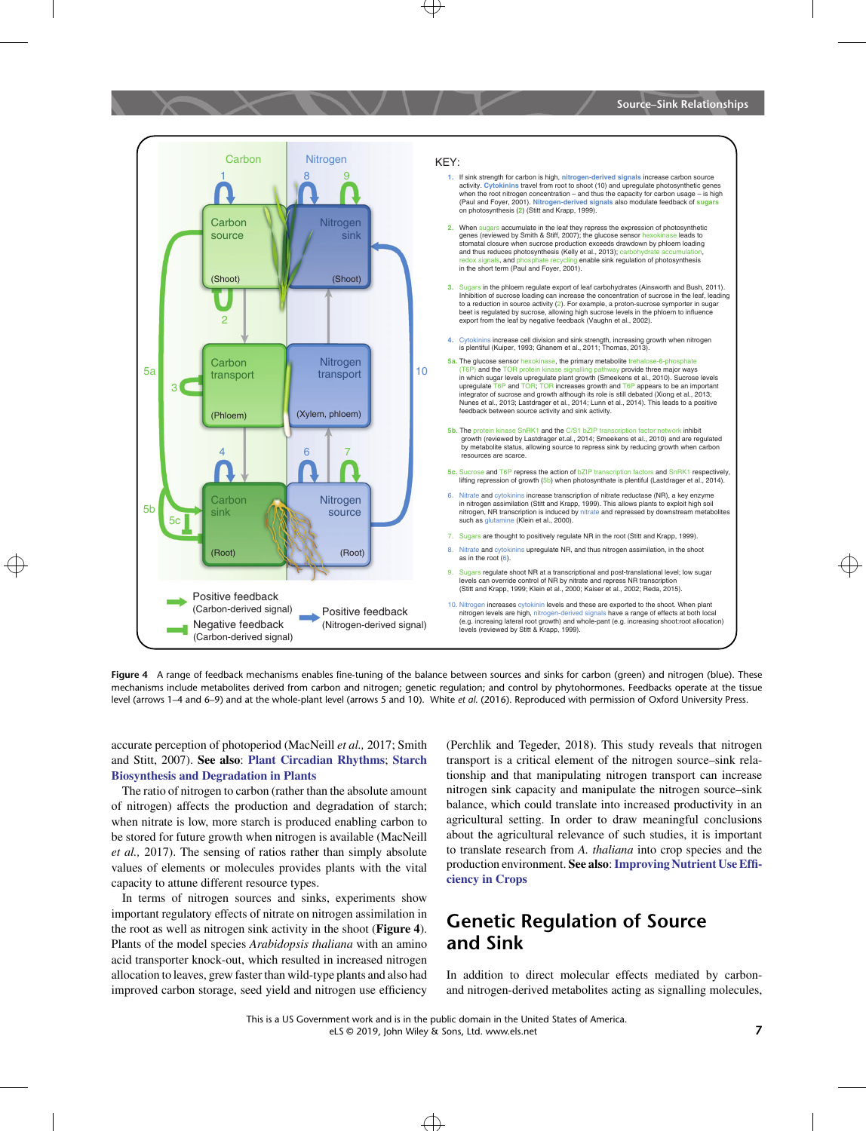

**Figure 4** A range of feedback mechanisms enables fine-tuning of the balance between sources and sinks for carbon (green) and nitrogen (blue). These mechanisms include metabolites derived from carbon and nitrogen; genetic regulation; and control by phytohormones. Feedbacks operate at the tissue level (arrows 1–4 and 6–9) and at the whole-plant level (arrows 5 and 10). White *et al*. (2016). Reproduced with permission of Oxford University Press.

accurate perception of photoperiod (MacNeill *et al.,* 2017; Smith and Stitt, 2007). **See also**: **[Plant Circadian Rhythms](http://onlinelibrary.wiley.com/doi/10.1002/9780470015902.a0020113.pub2)**; **[Starch](http://onlinelibrary.wiley.com/doi/10.1002/9780470015902.a0020124.pub2) [Biosynthesis and Degradation in Plants](http://onlinelibrary.wiley.com/doi/10.1002/9780470015902.a0020124.pub2)**

The ratio of nitrogen to carbon (rather than the absolute amount of nitrogen) affects the production and degradation of starch; when nitrate is low, more starch is produced enabling carbon to be stored for future growth when nitrogen is available (MacNeill *et al.,* 2017). The sensing of ratios rather than simply absolute values of elements or molecules provides plants with the vital capacity to attune different resource types.

In terms of nitrogen sources and sinks, experiments show important regulatory effects of nitrate on nitrogen assimilation in the root as well as nitrogen sink activity in the shoot (**Figure 4**). Plants of the model species *Arabidopsis thaliana* with an amino acid transporter knock-out, which resulted in increased nitrogen allocation to leaves, grew faster than wild-type plants and also had improved carbon storage, seed yield and nitrogen use efficiency (Perchlik and Tegeder, 2018). This study reveals that nitrogen transport is a critical element of the nitrogen source–sink relationship and that manipulating nitrogen transport can increase nitrogen sink capacity and manipulate the nitrogen source–sink balance, which could translate into increased productivity in an agricultural setting. In order to draw meaningful conclusions about the agricultural relevance of such studies, it is important to translate research from *A. thaliana* into crop species and the production environment. **See also**:**[Improving Nutrient Use Effi](http://onlinelibrary.wiley.com/doi/10.1002/9780470015902.a0023734)[ciency in Crops](http://onlinelibrary.wiley.com/doi/10.1002/9780470015902.a0023734)**

### **Genetic Regulation of Source and Sink**

In addition to direct molecular effects mediated by carbonand nitrogen-derived metabolites acting as signalling molecules,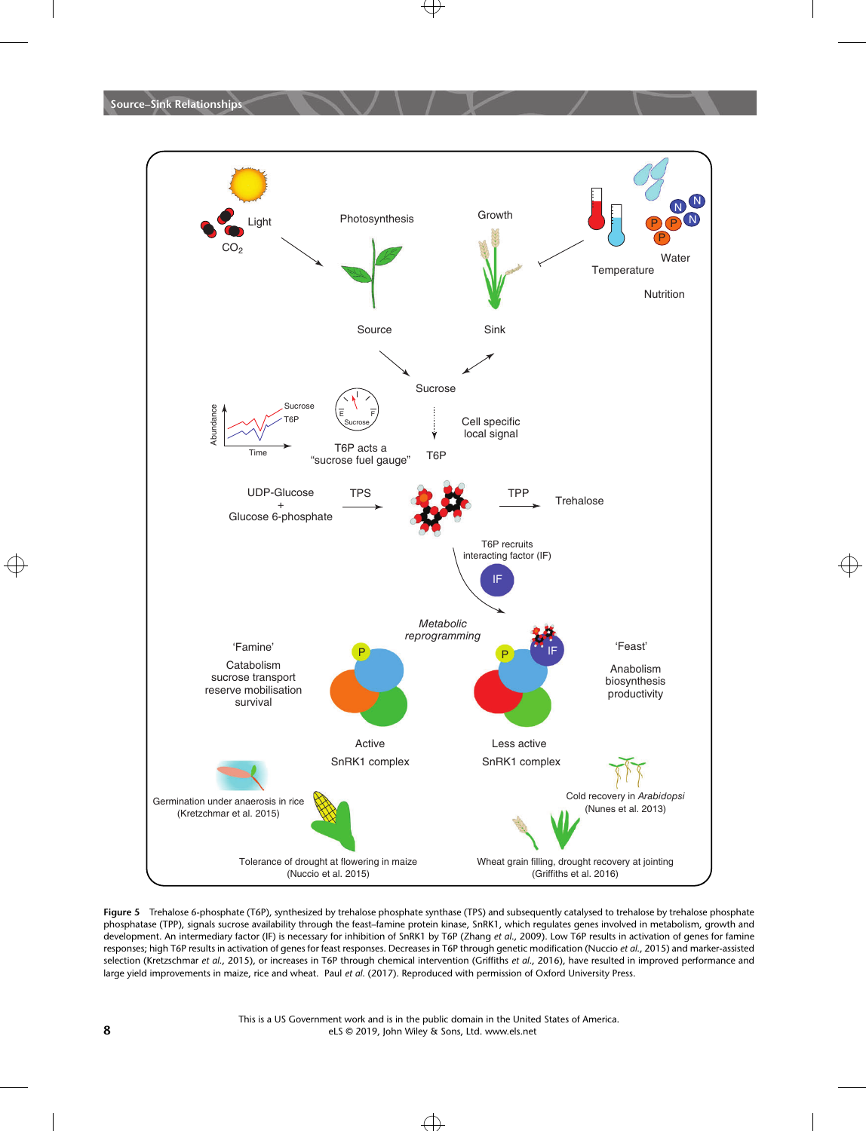

**Figure 5** Trehalose 6-phosphate (T6P), synthesized by trehalose phosphate synthase (TPS) and subsequently catalysed to trehalose by trehalose phosphate phosphatase (TPP), signals sucrose availability through the feast–famine protein kinase, SnRK1, which regulates genes involved in metabolism, growth and development. An intermediary factor (IF) is necessary for inhibition of SnRK1 by T6P (Zhang *et al*., 2009). Low T6P results in activation of genes for famine responses; high T6P results in activation of genes for feast responses. Decreases in T6P through genetic modification (Nuccio *et al*., 2015) and marker-assisted selection (Kretzschmar *et al*., 2015), or increases in T6P through chemical intervention (Griffiths *et al*., 2016), have resulted in improved performance and large yield improvements in maize, rice and wheat. Paul *et al*. (2017). Reproduced with permission of Oxford University Press.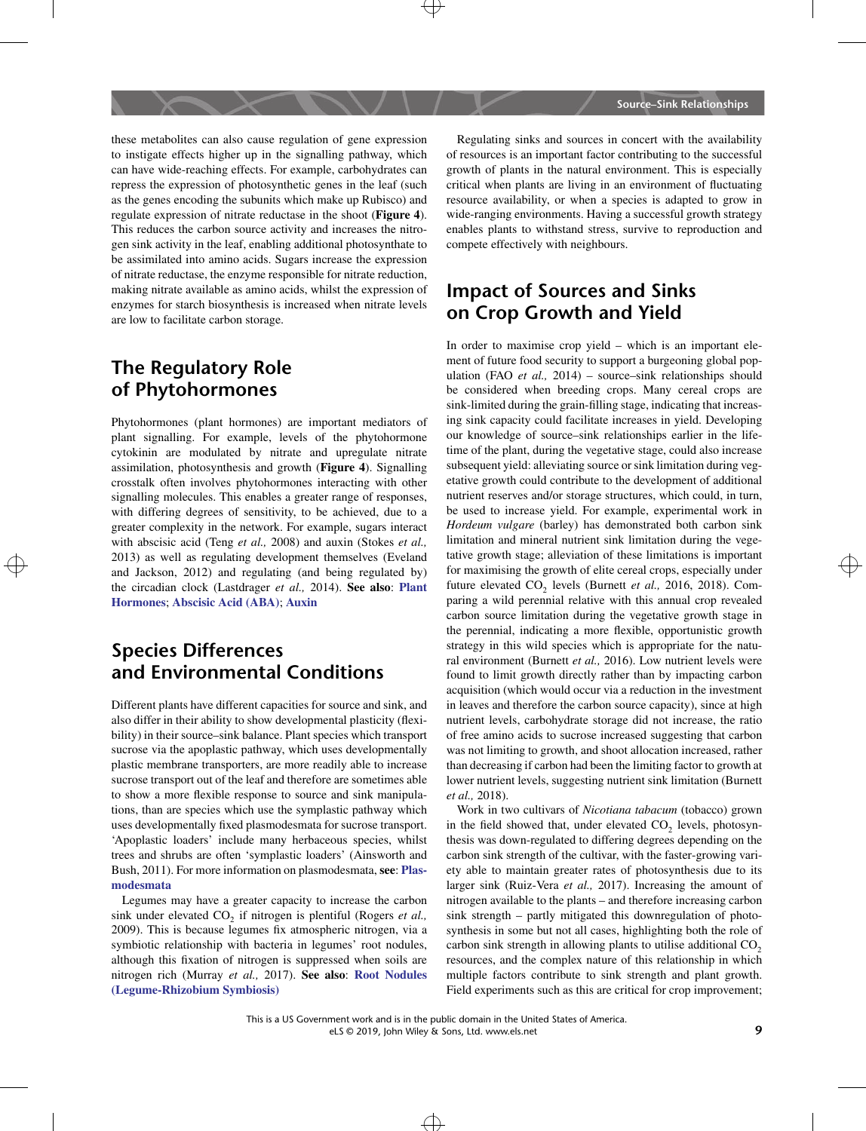these metabolites can also cause regulation of gene expression to instigate effects higher up in the signalling pathway, which can have wide-reaching effects. For example, carbohydrates can repress the expression of photosynthetic genes in the leaf (such as the genes encoding the subunits which make up Rubisco) and regulate expression of nitrate reductase in the shoot (**Figure 4**). This reduces the carbon source activity and increases the nitrogen sink activity in the leaf, enabling additional photosynthate to be assimilated into amino acids. Sugars increase the expression of nitrate reductase, the enzyme responsible for nitrate reduction, making nitrate available as amino acids, whilst the expression of enzymes for starch biosynthesis is increased when nitrate levels are low to facilitate carbon storage.

### **The Regulatory Role of Phytohormones**

Phytohormones (plant hormones) are important mediators of plant signalling. For example, levels of the phytohormone cytokinin are modulated by nitrate and upregulate nitrate assimilation, photosynthesis and growth (**Figure 4**). Signalling crosstalk often involves phytohormones interacting with other signalling molecules. This enables a greater range of responses, with differing degrees of sensitivity, to be achieved, due to a greater complexity in the network. For example, sugars interact with abscisic acid (Teng *et al.,* 2008) and auxin (Stokes *et al.,* 2013) as well as regulating development themselves (Eveland and Jackson, 2012) and regulating (and being regulated by) the circadian clock (Lastdrager *et al.,* 2014). **See also**: **[Plant](http://onlinelibrary.wiley.com/doi/10.1002/9780470015902.a0002091.pub2) [Hormones](http://onlinelibrary.wiley.com/doi/10.1002/9780470015902.a0002091.pub2)**; **[Abscisic Acid \(ABA\)](http://onlinelibrary.wiley.com/doi/10.1002/9780470015902.a0020088.pub3)**; **[Auxin](http://onlinelibrary.wiley.com/doi/10.1002/9780470015902.a0020090.pub2)**

# **Species Differences and Environmental Conditions**

Different plants have different capacities for source and sink, and also differ in their ability to show developmental plasticity (flexibility) in their source–sink balance. Plant species which transport sucrose via the apoplastic pathway, which uses developmentally plastic membrane transporters, are more readily able to increase sucrose transport out of the leaf and therefore are sometimes able to show a more flexible response to source and sink manipulations, than are species which use the symplastic pathway which uses developmentally fixed plasmodesmata for sucrose transport. 'Apoplastic loaders' include many herbaceous species, whilst trees and shrubs are often 'symplastic loaders' (Ainsworth and Bush, 2011). For more information on plasmodesmata, **see**: **[Plas](http://onlinelibrary.wiley.com/doi/10.1002/9780470015902.a0001681.pub3)[modesmata](http://onlinelibrary.wiley.com/doi/10.1002/9780470015902.a0001681.pub3)**

Legumes may have a greater capacity to increase the carbon sink under elevated CO<sub>2</sub> if nitrogen is plentiful (Rogers *et al.*, 2009). This is because legumes fix atmospheric nitrogen, via a symbiotic relationship with bacteria in legumes' root nodules, although this fixation of nitrogen is suppressed when soils are nitrogen rich (Murray *et al.,* 2017). **See also**: **[Root Nodules](http://onlinelibrary.wiley.com/doi/10.1002/9780470015902.a0003720.pub2) [\(Legume-Rhizobium Symbiosis\)](http://onlinelibrary.wiley.com/doi/10.1002/9780470015902.a0003720.pub2)**

Regulating sinks and sources in concert with the availability of resources is an important factor contributing to the successful growth of plants in the natural environment. This is especially critical when plants are living in an environment of fluctuating resource availability, or when a species is adapted to grow in wide-ranging environments. Having a successful growth strategy enables plants to withstand stress, survive to reproduction and compete effectively with neighbours.

# **Impact of Sources and Sinks on Crop Growth and Yield**

 $\frac{1}{2013}$  as well as regulating development inclusives (Everand  $\frac{1}{2013}$  contracting the growth of elite cereal crops, especially under In order to maximise crop yield – which is an important element of future food security to support a burgeoning global population (FAO *et al.,* 2014) – source–sink relationships should be considered when breeding crops. Many cereal crops are sink-limited during the grain-filling stage, indicating that increasing sink capacity could facilitate increases in yield. Developing our knowledge of source–sink relationships earlier in the lifetime of the plant, during the vegetative stage, could also increase subsequent yield: alleviating source or sink limitation during vegetative growth could contribute to the development of additional nutrient reserves and/or storage structures, which could, in turn, be used to increase yield. For example, experimental work in *Hordeum vulgare* (barley) has demonstrated both carbon sink limitation and mineral nutrient sink limitation during the vegetative growth stage; alleviation of these limitations is important future elevated CO<sub>2</sub> levels (Burnett et al., 2016, 2018). Comparing a wild perennial relative with this annual crop revealed carbon source limitation during the vegetative growth stage in the perennial, indicating a more flexible, opportunistic growth strategy in this wild species which is appropriate for the natural environment (Burnett *et al.,* 2016). Low nutrient levels were found to limit growth directly rather than by impacting carbon acquisition (which would occur via a reduction in the investment in leaves and therefore the carbon source capacity), since at high nutrient levels, carbohydrate storage did not increase, the ratio of free amino acids to sucrose increased suggesting that carbon was not limiting to growth, and shoot allocation increased, rather than decreasing if carbon had been the limiting factor to growth at lower nutrient levels, suggesting nutrient sink limitation (Burnett *et al.,* 2018).

> Work in two cultivars of *Nicotiana tabacum* (tobacco) grown in the field showed that, under elevated  $CO<sub>2</sub>$  levels, photosynthesis was down-regulated to differing degrees depending on the carbon sink strength of the cultivar, with the faster-growing variety able to maintain greater rates of photosynthesis due to its larger sink (Ruiz-Vera *et al.,* 2017). Increasing the amount of nitrogen available to the plants – and therefore increasing carbon sink strength – partly mitigated this downregulation of photosynthesis in some but not all cases, highlighting both the role of carbon sink strength in allowing plants to utilise additional  $CO<sub>2</sub>$ resources, and the complex nature of this relationship in which multiple factors contribute to sink strength and plant growth. Field experiments such as this are critical for crop improvement;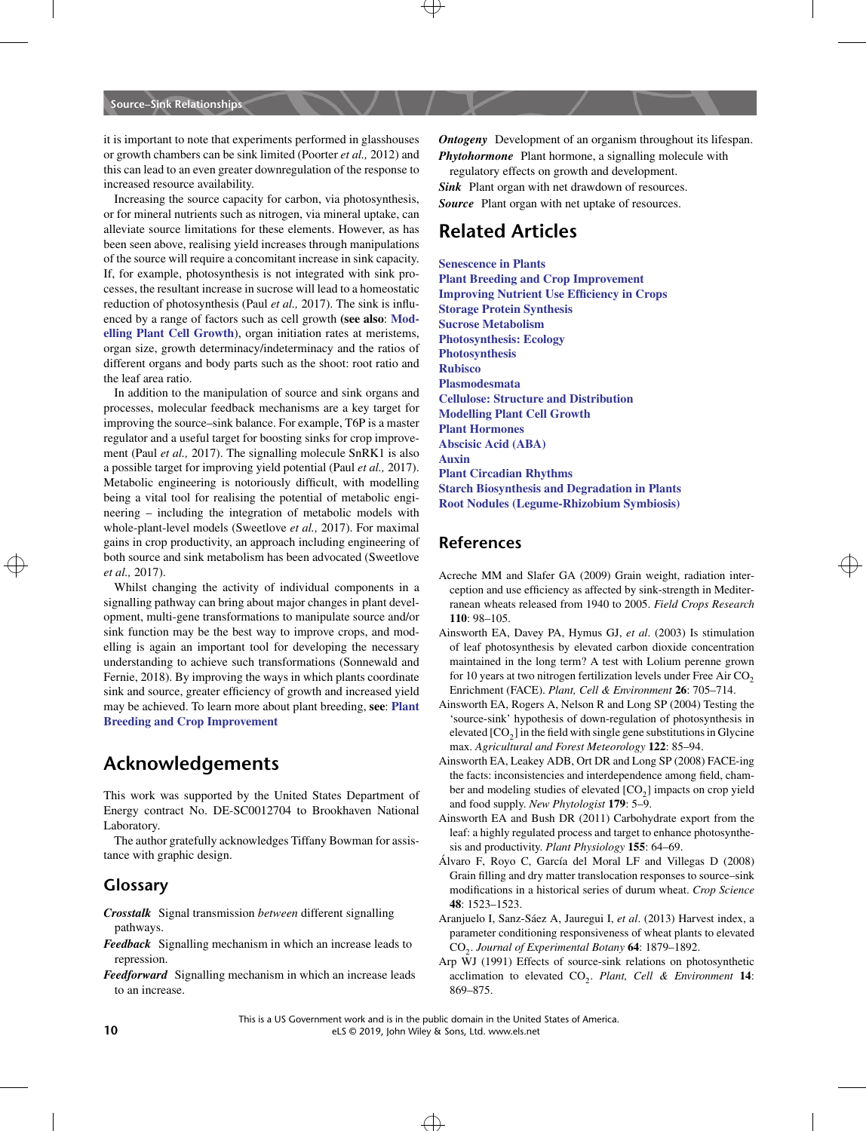it is important to note that experiments performed in glasshouses or growth chambers can be sink limited (Poorter *et al.,* 2012) and this can lead to an even greater downregulation of the response to increased resource availability.

Increasing the source capacity for carbon, via photosynthesis, or for mineral nutrients such as nitrogen, via mineral uptake, can alleviate source limitations for these elements. However, as has been seen above, realising yield increases through manipulations of the source will require a concomitant increase in sink capacity. If, for example, photosynthesis is not integrated with sink processes, the resultant increase in sucrose will lead to a homeostatic reduction of photosynthesis (Paul *et al.,* 2017). The sink is influenced by a range of factors such as cell growth **(see also**: **[Mod](http://onlinelibrary.wiley.com/doi/10.1002/9780470015902.a0020107.pub2)[elling Plant Cell Growth](http://onlinelibrary.wiley.com/doi/10.1002/9780470015902.a0020107.pub2)**), organ initiation rates at meristems, organ size, growth determinacy/indeterminacy and the ratios of different organs and body parts such as the shoot: root ratio and the leaf area ratio.

both source and sink metabolism has been advocated (Sweetlove<br>at al. 2017) In addition to the manipulation of source and sink organs and processes, molecular feedback mechanisms are a key target for improving the source–sink balance. For example, T6P is a master regulator and a useful target for boosting sinks for crop improvement (Paul *et al.,* 2017). The signalling molecule SnRK1 is also a possible target for improving yield potential (Paul *et al.,* 2017). Metabolic engineering is notoriously difficult, with modelling being a vital tool for realising the potential of metabolic engineering – including the integration of metabolic models with whole-plant-level models (Sweetlove *et al.,* 2017). For maximal gains in crop productivity, an approach including engineering of *et al.,* 2017).

Whilst changing the activity of individual components in a signalling pathway can bring about major changes in plant development, multi-gene transformations to manipulate source and/or sink function may be the best way to improve crops, and modelling is again an important tool for developing the necessary understanding to achieve such transformations (Sonnewald and Fernie, 2018). By improving the ways in which plants coordinate sink and source, greater efficiency of growth and increased yield may be achieved. To learn more about plant breeding, **see**: **[Plant](http://onlinelibrary.wiley.com/doi/10.1002/9780470015902.a0002024.pub3) [Breeding and Crop Improvement](http://onlinelibrary.wiley.com/doi/10.1002/9780470015902.a0002024.pub3)**

### **Acknowledgements**

This work was supported by the United States Department of Energy contract No. DE-SC0012704 to Brookhaven National Laboratory.

The author gratefully acknowledges Tiffany Bowman for assistance with graphic design.

### **Glossary**

- *Crosstalk* Signal transmission *between* different signalling pathways.
- *Feedback* Signalling mechanism in which an increase leads to repression.
- *Feedforward* Signalling mechanism in which an increase leads to an increase.

*Ontogeny* Development of an organism throughout its lifespan. *Phytohormone* Plant hormone, a signalling molecule with

regulatory effects on growth and development. *Sink* Plant organ with net drawdown of resources. *Source* Plant organ with net uptake of resources.

# **Related Articles**

**[Senescence in Plants](http://onlinelibrary.wiley.com/doi/10.1002/9780470015902.a0020133.pub2) [Plant Breeding and Crop Improvement](http://onlinelibrary.wiley.com/doi/10.1002/9780470015902.a0002024.pub3) [Improving Nutrient Use Efficiency in Crops](http://onlinelibrary.wiley.com/doi/10.1002/9780470015902.a0023734) [Storage Protein Synthesis](http://onlinelibrary.wiley.com/doi/10.1002/9780470015902.a0023693) [Sucrose Metabolism](http://onlinelibrary.wiley.com/doi/10.1002/9780470015902.a0021259.pub2) [Photosynthesis: Ecology](http://onlinelibrary.wiley.com/doi/10.1002/9780470015902.a0003198.pub2) [Photosynthesis](http://onlinelibrary.wiley.com/doi/10.1002/9780470015902.a0001309.pub2) [Rubisco](http://onlinelibrary.wiley.com/doi/10.1002/9780470015902.a0001293.pub2) [Plasmodesmata](http://onlinelibrary.wiley.com/doi/10.1002/9780470015902.a0001681.pub3) [Cellulose: Structure and Distribution](http://onlinelibrary.wiley.com/doi/10.1038/npg.els.0003892) [Modelling Plant Cell Growth](http://onlinelibrary.wiley.com/doi/10.1002/9780470015902.a0020107.pub2) [Plant Hormones](http://onlinelibrary.wiley.com/doi/10.1002/9780470015902.a0002091.pub2) [Abscisic Acid \(ABA\)](http://onlinelibrary.wiley.com/doi/10.1002/9780470015902.a0020088.pub3) [Auxin](http://onlinelibrary.wiley.com/doi/10.1002/9780470015902.a0020090.pub2) [Plant Circadian Rhythms](http://onlinelibrary.wiley.com/doi/10.1002/9780470015902.a0020113.pub2) [Starch Biosynthesis and Degradation in Plants](http://onlinelibrary.wiley.com/doi/10.1002/9780470015902.a0020124.pub2) [Root Nodules \(Legume-Rhizobium Symbiosis\)](http://onlinelibrary.wiley.com/doi/10.1002/9780470015902.a0003720.pub2)**

### **References**

- Acreche MM and Slafer GA (2009) Grain weight, radiation interception and use efficiency as affected by sink-strength in Mediterranean wheats released from 1940 to 2005. *Field Crops Research* **110**: 98–105.
- Ainsworth EA, Davey PA, Hymus GJ, *et al*. (2003) Is stimulation of leaf photosynthesis by elevated carbon dioxide concentration maintained in the long term? A test with Lolium perenne grown for 10 years at two nitrogen fertilization levels under Free Air  $CO<sub>2</sub>$ Enrichment (FACE). *Plant, Cell & Environment* **26**: 705–714.
- Ainsworth EA, Rogers A, Nelson R and Long SP (2004) Testing the 'source-sink' hypothesis of down-regulation of photosynthesis in elevated  $[CO<sub>2</sub>]$  in the field with single gene substitutions in Glycine max. *Agricultural and Forest Meteorology* **122**: 85–94.
- Ainsworth EA, Leakey ADB, Ort DR and Long SP (2008) FACE-ing the facts: inconsistencies and interdependence among field, chamber and modeling studies of elevated  $[CO<sub>2</sub>]$  impacts on crop yield and food supply. *New Phytologist* **179**: 5–9.
- Ainsworth EA and Bush DR (2011) Carbohydrate export from the leaf: a highly regulated process and target to enhance photosynthesis and productivity. *Plant Physiology* **155**: 64–69.
- Álvaro F, Royo C, García del Moral LF and Villegas D (2008) Grain filling and dry matter translocation responses to source–sink modifications in a historical series of durum wheat. *Crop Science* **48**: 1523–1523.
- Aranjuelo I, Sanz-Sáez A, Jauregui I, *et al*. (2013) Harvest index, a parameter conditioning responsiveness of wheat plants to elevated CO2. *Journal of Experimental Botany* **64**: 1879–1892.
- Arp WJ (1991) Effects of source-sink relations on photosynthetic acclimation to elevated CO<sub>2</sub>. *Plant, Cell & Environment* 14: 869–875.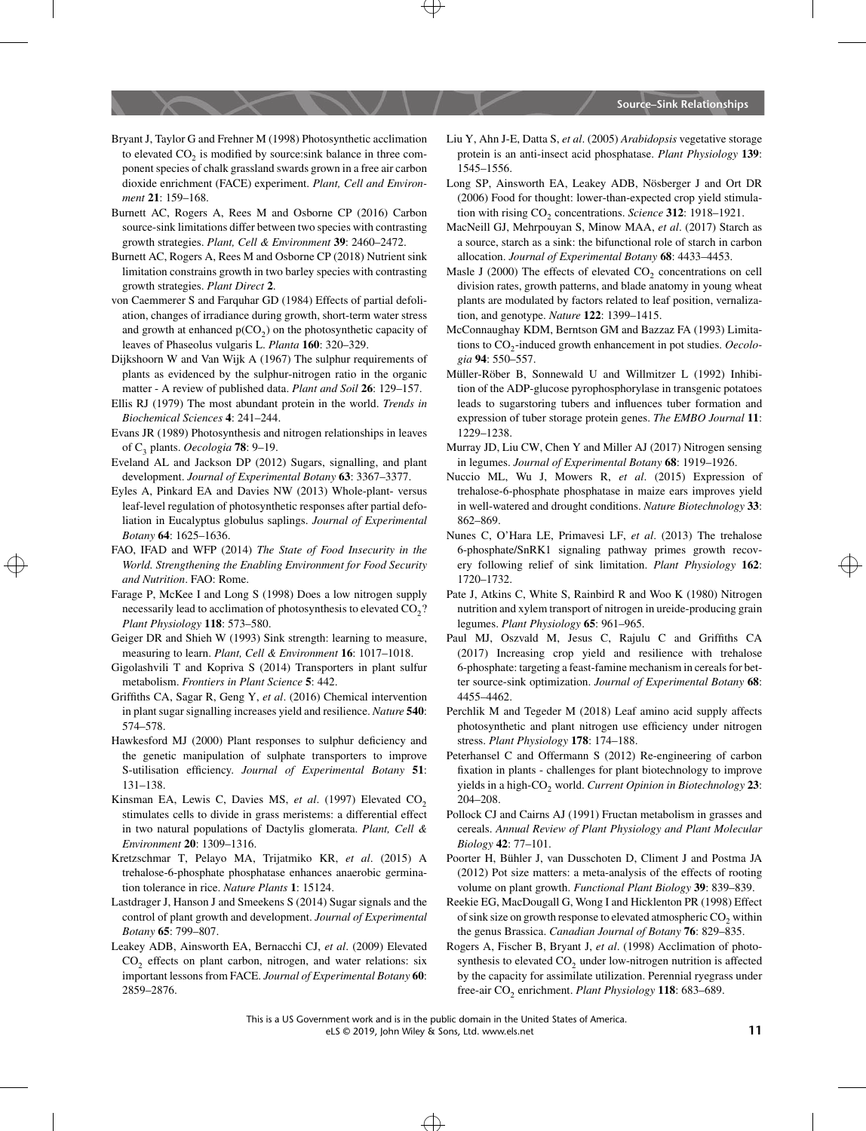- Bryant J, Taylor G and Frehner M (1998) Photosynthetic acclimation to elevated  $CO<sub>2</sub>$  is modified by source:sink balance in three component species of chalk grassland swards grown in a free air carbon dioxide enrichment (FACE) experiment. *Plant, Cell and Environment* **21**: 159–168.
- Burnett AC, Rogers A, Rees M and Osborne CP (2016) Carbon source-sink limitations differ between two species with contrasting growth strategies. *Plant, Cell & Environment* **39**: 2460–2472.
- Burnett AC, Rogers A, Rees M and Osborne CP (2018) Nutrient sink limitation constrains growth in two barley species with contrasting growth strategies. *Plant Direct* **2**.
- von Caemmerer S and Farquhar GD (1984) Effects of partial defoliation, changes of irradiance during growth, short-term water stress and growth at enhanced  $p(CO<sub>2</sub>)$  on the photosynthetic capacity of leaves of Phaseolus vulgaris L. *Planta* **160**: 320–329.
- Dijkshoorn W and Van Wijk A (1967) The sulphur requirements of plants as evidenced by the sulphur-nitrogen ratio in the organic matter - A review of published data. *Plant and Soil* **26**: 129–157.
- Ellis RJ (1979) The most abundant protein in the world. *Trends in Biochemical Sciences* **4**: 241–244.
- Evans JR (1989) Photosynthesis and nitrogen relationships in leaves of C3 plants. *Oecologia* **78**: 9–19.
- Eveland AL and Jackson DP (2012) Sugars, signalling, and plant development. *Journal of Experimental Botany* **63**: 3367–3377.
- Eyles A, Pinkard EA and Davies NW (2013) Whole-plant- versus leaf-level regulation of photosynthetic responses after partial defoliation in Eucalyptus globulus saplings. *Journal of Experimental Botany* **64**: 1625–1636.
- World. Strengthening the Enabling Environment for Food Security ery following relief of sink limitation. Plant Physiology 162: FAO, IFAD and WFP (2014) *The State of Food Insecurity in the World. Strengthening the Enabling Environment for Food Security and Nutrition*. FAO: Rome.
	- Farage P, McKee I and Long S (1998) Does a low nitrogen supply necessarily lead to acclimation of photosynthesis to elevated CO<sub>2</sub>? *Plant Physiology* **118**: 573–580.
	- Geiger DR and Shieh W (1993) Sink strength: learning to measure, measuring to learn. *Plant, Cell & Environment* **16**: 1017–1018.
	- Gigolashvili T and Kopriva S (2014) Transporters in plant sulfur metabolism. *Frontiers in Plant Science* **5**: 442.
	- Griffiths CA, Sagar R, Geng Y, *et al*. (2016) Chemical intervention in plant sugar signalling increases yield and resilience. *Nature* **540**: 574–578.
	- Hawkesford MJ (2000) Plant responses to sulphur deficiency and the genetic manipulation of sulphate transporters to improve S-utilisation efficiency. *Journal of Experimental Botany* **51**: 131–138.
	- Kinsman EA, Lewis C, Davies MS, et al. (1997) Elevated CO<sub>2</sub> stimulates cells to divide in grass meristems: a differential effect in two natural populations of Dactylis glomerata. *Plant, Cell & Environment* **20**: 1309–1316.
	- Kretzschmar T, Pelayo MA, Trijatmiko KR, *et al*. (2015) A trehalose-6-phosphate phosphatase enhances anaerobic germination tolerance in rice. *Nature Plants* **1**: 15124.
	- Lastdrager J, Hanson J and Smeekens S (2014) Sugar signals and the control of plant growth and development. *Journal of Experimental Botany* **65**: 799–807.
	- Leakey ADB, Ainsworth EA, Bernacchi CJ, *et al*. (2009) Elevated  $CO<sub>2</sub>$  effects on plant carbon, nitrogen, and water relations: six important lessons from FACE. *Journal of Experimental Botany* **60**: 2859–2876.
- Liu Y, Ahn J-E, Datta S, *et al*. (2005) *Arabidopsis* vegetative storage protein is an anti-insect acid phosphatase. *Plant Physiology* **139**: 1545–1556.
- Long SP, Ainsworth EA, Leakey ADB, Nösberger J and Ort DR (2006) Food for thought: lower-than-expected crop yield stimulation with rising CO<sub>2</sub> concentrations. *Science* 312: 1918–1921.
- MacNeill GJ, Mehrpouyan S, Minow MAA, *et al*. (2017) Starch as a source, starch as a sink: the bifunctional role of starch in carbon allocation. *Journal of Experimental Botany* **68**: 4433–4453.
- Masle J (2000) The effects of elevated  $CO<sub>2</sub>$  concentrations on cell division rates, growth patterns, and blade anatomy in young wheat plants are modulated by factors related to leaf position, vernalization, and genotype. *Nature* **122**: 1399–1415.
- McConnaughay KDM, Berntson GM and Bazzaz FA (1993) Limitations to CO<sub>2</sub>-induced growth enhancement in pot studies. *Oecologia* **94**: 550–557.
- Müller-Röber B, Sonnewald U and Willmitzer L (1992) Inhibition of the ADP-glucose pyrophosphorylase in transgenic potatoes leads to sugarstoring tubers and influences tuber formation and expression of tuber storage protein genes. *The EMBO Journal* **11**: 1229–1238.
- Murray JD, Liu CW, Chen Y and Miller AJ (2017) Nitrogen sensing in legumes. *Journal of Experimental Botany* **68**: 1919–1926.
- Nuccio ML, Wu J, Mowers R, *et al*. (2015) Expression of trehalose-6-phosphate phosphatase in maize ears improves yield in well-watered and drought conditions. *Nature Biotechnology* **33**: 862–869.
- Nunes C, O'Hara LE, Primavesi LF, *et al*. (2013) The trehalose 6-phosphate/SnRK1 signaling pathway primes growth recov-1720–1732.
- Pate J, Atkins C, White S, Rainbird R and Woo K (1980) Nitrogen nutrition and xylem transport of nitrogen in ureide-producing grain legumes. *Plant Physiology* **65**: 961–965.
- Paul MJ, Oszvald M, Jesus C, Rajulu C and Griffiths CA (2017) Increasing crop yield and resilience with trehalose 6-phosphate: targeting a feast-famine mechanism in cereals for better source-sink optimization. *Journal of Experimental Botany* **68**: 4455–4462.
- Perchlik M and Tegeder M (2018) Leaf amino acid supply affects photosynthetic and plant nitrogen use efficiency under nitrogen stress. *Plant Physiology* **178**: 174–188.
- Peterhansel C and Offermann S (2012) Re-engineering of carbon fixation in plants - challenges for plant biotechnology to improve yields in a high-CO<sub>2</sub> world. *Current Opinion in Biotechnology* 23: 204–208.
- Pollock CJ and Cairns AJ (1991) Fructan metabolism in grasses and cereals. *Annual Review of Plant Physiology and Plant Molecular Biology* **42**: 77–101.
- Poorter H, Bühler J, van Dusschoten D, Climent J and Postma JA (2012) Pot size matters: a meta-analysis of the effects of rooting volume on plant growth. *Functional Plant Biology* **39**: 839–839.
- Reekie EG, MacDougall G, Wong I and Hicklenton PR (1998) Effect of sink size on growth response to elevated atmospheric  $CO<sub>2</sub>$  within the genus Brassica. *Canadian Journal of Botany* **76**: 829–835.
- Rogers A, Fischer B, Bryant J, *et al*. (1998) Acclimation of photosynthesis to elevated  $CO<sub>2</sub>$  under low-nitrogen nutrition is affected by the capacity for assimilate utilization. Perennial ryegrass under free-air CO<sub>2</sub> enrichment. *Plant Physiology* 118: 683-689.